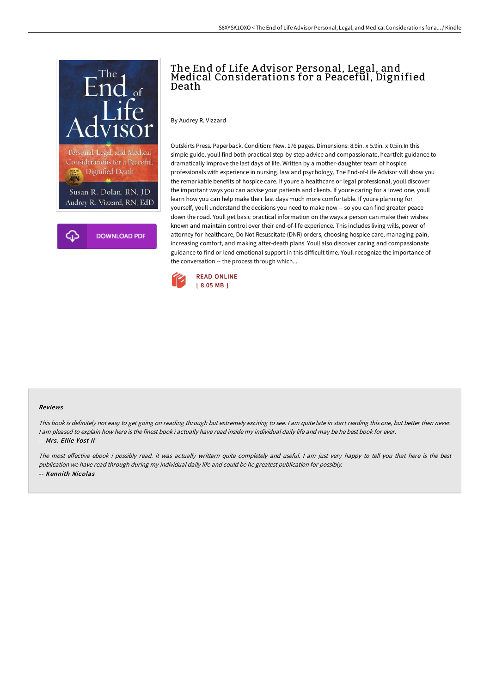

# The End of Life A dvisor Personal, Legal, and Medical Considerations for a Peaceful, Dignified Death

By Audrey R. Vizzard

Outskirts Press. Paperback. Condition: New. 176 pages. Dimensions: 8.9in. x 5.9in. x 0.5in.In this simple guide, youll find both practical step-by-step advice and compassionate, heartfelt guidance to dramatically improve the last days of life. Written by a mother-daughter team of hospice professionals with experience in nursing, law and psychology, The End-of-Life Advisor will show you the remarkable benefits of hospice care. If youre a healthcare or legal professional, youll discover the important ways you can advise your patients and clients. If youre caring for a loved one, youll learn how you can help make their last days much more comfortable. If youre planning for yourself, youll understand the decisions you need to make now -- so you can find greater peace down the road. Youll get basic practical information on the ways a person can make their wishes known and maintain control over their end-of-life experience. This includes living wills, power of attorney for healthcare, Do Not Resuscitate (DNR) orders, choosing hospice care, managing pain, increasing comfort, and making after-death plans. Youll also discover caring and compassionate guidance to find or lend emotional support in this difficult time. Youll recognize the importance of the conversation -- the process through which...



#### Reviews

This book is definitely not easy to get going on reading through but extremely exciting to see. <sup>I</sup> am quite late in start reading this one, but better then never. I am pleased to explain how here is the finest book i actually have read inside my individual daily life and may be he best book for ever. -- Mrs. Ellie Yost II

The most effective ebook i possibly read. it was actually writtern quite completely and useful. I am just very happy to tell you that here is the best publication we have read through during my individual daily life and could be he greatest publication for possibly. -- Kennith Nicolas